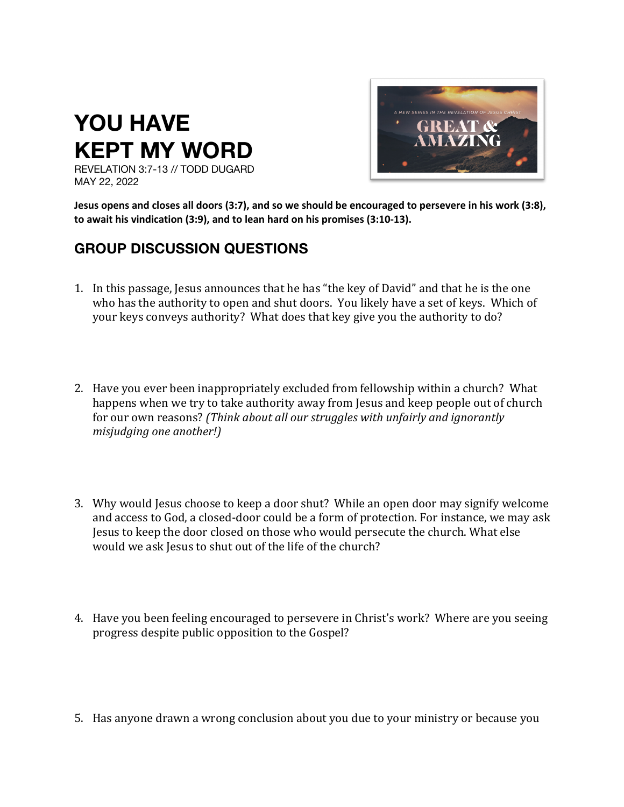## **YOU HAVE KEPT MY WORD**



REVELATION 3:7-13 // TODD DUGARD MAY 22, 2022

**Jesus opens and closes all doors (3:7), and so we should be encouraged to persevere in his work (3:8), to await his vindication (3:9), and to lean hard on his promises (3:10-13).**

## **GROUP DISCUSSION QUESTIONS**

- 1. In this passage, Jesus announces that he has "the key of David" and that he is the one who has the authority to open and shut doors. You likely have a set of keys. Which of your keys conveys authority? What does that key give you the authority to do?
- 2. Have you ever been inappropriately excluded from fellowship within a church? What happens when we try to take authority away from Jesus and keep people out of church for our own reasons? *(Think about all our struggles with unfairly and ignorantly misjudging one another!*)
- 3. Why would Jesus choose to keep a door shut? While an open door may signify welcome and access to God, a closed-door could be a form of protection. For instance, we may ask Jesus to keep the door closed on those who would persecute the church. What else would we ask lesus to shut out of the life of the church?
- 4. Have you been feeling encouraged to persevere in Christ's work? Where are you seeing progress despite public opposition to the Gospel?
- 5. Has anyone drawn a wrong conclusion about you due to your ministry or because you